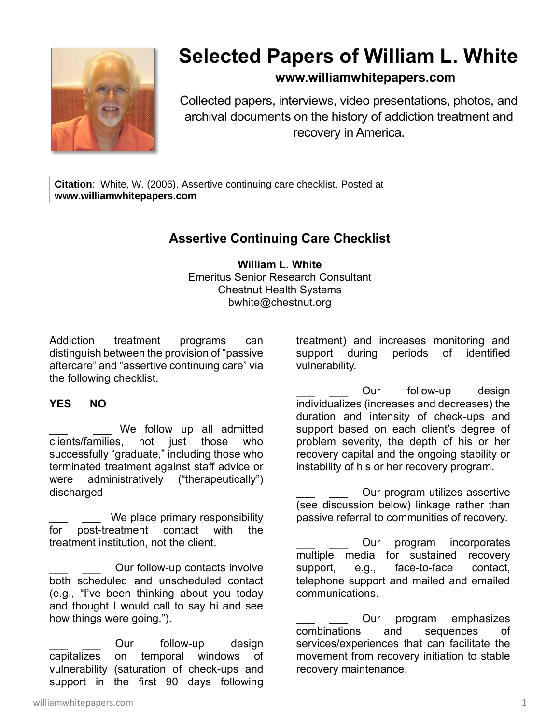

## **Selected Papers of William L. White**

## **www.williamwhitepapers.com**

Collected papers, interviews, video presentations, photos, and archival documents on the history of addiction treatment and recovery in America.

**Citation**: White, W. (2006). Assertive continuing care checklist. Posted at **www.williamwhitepapers.com**

## **Assertive Continuing Care Checklist**

**William L. White** Emeritus Senior Research Consultant Chestnut Health Systems bwhite@chestnut.org

Addiction treatment programs can distinguish between the provision of "passive aftercare" and "assertive continuing care" via the following checklist.

## **YES NO**

We follow up all admitted clients/families, not just those who successfully "graduate," including those who terminated treatment against staff advice or were administratively ("therapeutically") discharged

We place primary responsibility for post-treatment contact with the treatment institution, not the client.

Our follow-up contacts involve both scheduled and unscheduled contact (e.g., "I've been thinking about you today and thought I would call to say hi and see how things were going.").

Our follow-up design capitalizes on temporal windows of vulnerability (saturation of check-ups and support in the first 90 days following

treatment) and increases monitoring and support during periods of identified vulnerability.

Our follow-up design individualizes (increases and decreases) the duration and intensity of check-ups and support based on each client's degree of problem severity, the depth of his or her recovery capital and the ongoing stability or instability of his or her recovery program.

Our program utilizes assertive (see discussion below) linkage rather than passive referral to communities of recovery.

Our program incorporates multiple media for sustained recovery support, e.g., face-to-face contact, telephone support and mailed and emailed communications.

Our program emphasizes combinations and sequences of services/experiences that can facilitate the movement from recovery initiation to stable recovery maintenance.